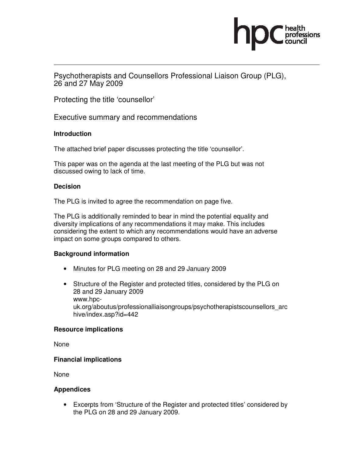

Psychotherapists and Counsellors Professional Liaison Group (PLG), 26 and 27 May 2009

Protecting the title 'counsellor'

Executive summary and recommendations

### **Introduction**

The attached brief paper discusses protecting the title 'counsellor'.

This paper was on the agenda at the last meeting of the PLG but was not discussed owing to lack of time.

### **Decision**

The PLG is invited to agree the recommendation on page five.

The PLG is additionally reminded to bear in mind the potential equality and diversity implications of any recommendations it may make. This includes considering the extent to which any recommendations would have an adverse impact on some groups compared to others.

#### **Background information**

- Minutes for PLG meeting on 28 and 29 January 2009
- Structure of the Register and protected titles, considered by the PLG on 28 and 29 January 2009 www.hpcuk.org/aboutus/professionalliaisongroups/psychotherapistscounsellors\_arc hive/index.asp?id=442

#### **Resource implications**

None

# **Financial implications**

None

#### **Appendices**

• Excerpts from 'Structure of the Register and protected titles' considered by the PLG on 28 and 29 January 2009.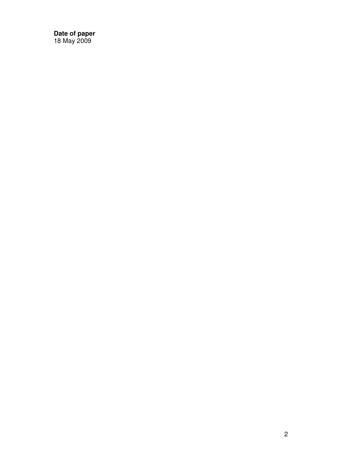**Date of paper**  18 May 2009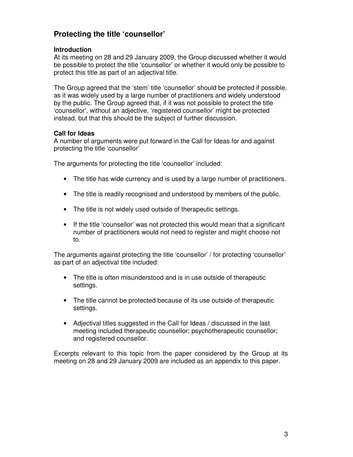# **Protecting the title 'counsellor'**

### **Introduction**

At its meeting on 28 and 29 January 2009, the Group discussed whether it would be possible to protect the title 'counsellor' or whether it would only be possible to protect this title as part of an adjectival title.

The Group agreed that the 'stem' title 'counsellor' should be protected if possible, as it was widely used by a large number of practitioners and widely understood by the public. The Group agreed that, if it was not possible to protect the title 'counsellor', without an adjective, 'registered counsellor' might be protected instead, but that this should be the subject of further discussion.

### **Call for Ideas**

A number of arguments were put forward in the Call for Ideas for and against protecting the title 'counsellor'

The arguments for protecting the title 'counsellor' included:

- The title has wide currency and is used by a large number of practitioners.
- The title is readily recognised and understood by members of the public.
- The title is not widely used outside of therapeutic settings.
- If the title 'counsellor' was not protected this would mean that a significant number of practitioners would not need to register and might choose not to.

The arguments against protecting the title 'counsellor' / for protecting 'counsellor' as part of an adjectival title included:

- The title is often misunderstood and is in use outside of therapeutic settings.
- The title cannot be protected because of its use outside of therapeutic settings.
- Adjectival titles suggested in the Call for Ideas / discussed in the last meeting included therapeutic counsellor; psychotherapeutic counsellor; and registered counsellor.

Excerpts relevant to this topic from the paper considered by the Group at its meeting on 28 and 29 January 2009 are included as an appendix to this paper.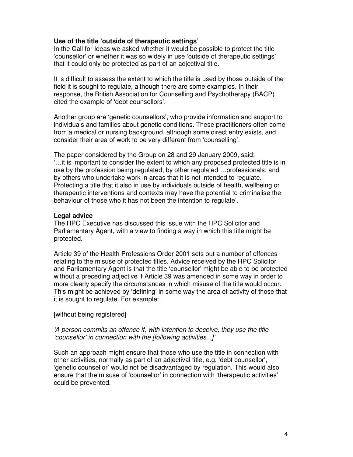#### **Use of the title 'outside of therapeutic settings'**

In the Call for Ideas we asked whether it would be possible to protect the title 'counsellor' or whether it was so widely in use 'outside of therapeutic settings' that it could only be protected as part of an adjectival title.

It is difficult to assess the extent to which the title is used by those outside of the field it is sought to regulate, although there are some examples. In their response, the British Association for Counselling and Psychotherapy (BACP) cited the example of 'debt counsellors'.

Another group are 'genetic counsellors', who provide information and support to individuals and families about genetic conditions. These practitioners often come from a medical or nursing background, although some direct entry exists, and consider their area of work to be very different from 'counselling'.

The paper considered by the Group on 28 and 29 January 2009, said: '…it is important to consider the extent to which any proposed protected title is in use by the profession being regulated; by other regulated …professionals; and by others who undertake work in areas that it is not intended to regulate. Protecting a title that it also in use by individuals outside of health, wellbeing or therapeutic interventions and contexts may have the potential to criminalise the behaviour of those who it has not been the intention to regulate'.

#### **Legal advice**

The HPC Executive has discussed this issue with the HPC Solicitor and Parliamentary Agent, with a view to finding a way in which this title might be protected.

Article 39 of the Health Professions Order 2001 sets out a number of offences relating to the misuse of protected titles. Advice received by the HPC Solicitor and Parliamentary Agent is that the title 'counsellor' might be able to be protected without a preceding adjective if Article 39 was amended in some way in order to more clearly specify the circumstances in which misuse of the title would occur. This might be achieved by 'defining' in some way the area of activity of those that it is sought to regulate. For example:

[without being registered]

#### 'A person commits an offence if, with intention to deceive, they use the title 'counsellor' in connection with the [following activities...]'

Such an approach might ensure that those who use the title in connection with other activities, normally as part of an adjectival title, e.g. 'debt counsellor', 'genetic counsellor' would not be disadvantaged by regulation. This would also ensure that the misuse of 'counsellor' in connection with 'therapeutic activities' could be prevented.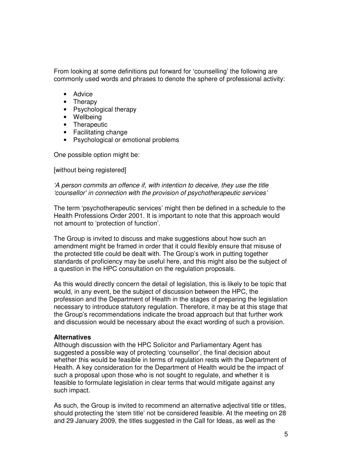From looking at some definitions put forward for 'counselling' the following are commonly used words and phrases to denote the sphere of professional activity:

- Advice
- Therapy
- Psychological therapy
- Wellbeing
- Therapeutic
- Facilitating change
- Psychological or emotional problems

One possible option might be:

[without being registered]

'A person commits an offence if, with intention to deceive, they use the title 'counsellor' in connection with the provision of psychotherapeutic services'

The term 'psychotherapeutic services' might then be defined in a schedule to the Health Professions Order 2001. It is important to note that this approach would not amount to 'protection of function'.

The Group is invited to discuss and make suggestions about how such an amendment might be framed in order that it could flexibly ensure that misuse of the protected title could be dealt with. The Group's work in putting together standards of proficiency may be useful here, and this might also be the subject of a question in the HPC consultation on the regulation proposals.

As this would directly concern the detail of legislation, this is likely to be topic that would, in any event, be the subject of discussion between the HPC, the profession and the Department of Health in the stages of preparing the legislation necessary to introduce statutory regulation. Therefore, it may be at this stage that the Group's recommendations indicate the broad approach but that further work and discussion would be necessary about the exact wording of such a provision.

#### **Alternatives**

Although discussion with the HPC Solicitor and Parliamentary Agent has suggested a possible way of protecting 'counsellor', the final decision about whether this would be feasible in terms of regulation rests with the Department of Health. A key consideration for the Department of Health would be the impact of such a proposal upon those who is not sought to regulate, and whether it is feasible to formulate legislation in clear terms that would mitigate against any such impact.

As such, the Group is invited to recommend an alternative adjectival title or titles, should protecting the 'stem title' not be considered feasible. At the meeting on 28 and 29 January 2009, the titles suggested in the Call for Ideas, as well as the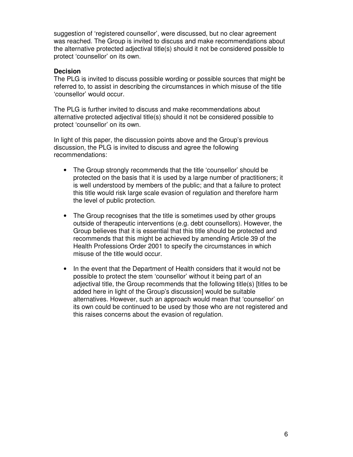suggestion of 'registered counsellor', were discussed, but no clear agreement was reached. The Group is invited to discuss and make recommendations about the alternative protected adjectival title(s) should it not be considered possible to protect 'counsellor' on its own.

#### **Decision**

The PLG is invited to discuss possible wording or possible sources that might be referred to, to assist in describing the circumstances in which misuse of the title 'counsellor' would occur.

The PLG is further invited to discuss and make recommendations about alternative protected adjectival title(s) should it not be considered possible to protect 'counsellor' on its own.

In light of this paper, the discussion points above and the Group's previous discussion, the PLG is invited to discuss and agree the following recommendations:

- The Group strongly recommends that the title 'counsellor' should be protected on the basis that it is used by a large number of practitioners; it is well understood by members of the public; and that a failure to protect this title would risk large scale evasion of regulation and therefore harm the level of public protection.
- The Group recognises that the title is sometimes used by other groups outside of therapeutic interventions (e.g. debt counsellors). However, the Group believes that it is essential that this title should be protected and recommends that this might be achieved by amending Article 39 of the Health Professions Order 2001 to specify the circumstances in which misuse of the title would occur.
- In the event that the Department of Health considers that it would not be possible to protect the stem 'counsellor' without it being part of an adjectival title, the Group recommends that the following title(s) [titles to be added here in light of the Group's discussion] would be suitable alternatives. However, such an approach would mean that 'counsellor' on its own could be continued to be used by those who are not registered and this raises concerns about the evasion of regulation.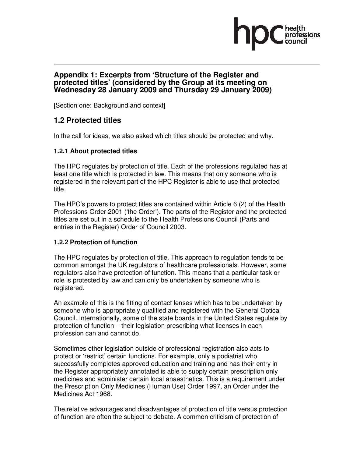## **Appendix 1: Excerpts from 'Structure of the Register and protected titles' (considered by the Group at its meeting on Wednesday 28 January 2009 and Thursday 29 January 2009)**

[Section one: Background and context]

# **1.2 Protected titles**

In the call for ideas, we also asked which titles should be protected and why.

# **1.2.1 About protected titles**

The HPC regulates by protection of title. Each of the professions regulated has at least one title which is protected in law. This means that only someone who is registered in the relevant part of the HPC Register is able to use that protected title.

The HPC's powers to protect titles are contained within Article 6 (2) of the Health Professions Order 2001 ('the Order'). The parts of the Register and the protected titles are set out in a schedule to the Health Professions Council (Parts and entries in the Register) Order of Council 2003.

# **1.2.2 Protection of function**

The HPC regulates by protection of title. This approach to regulation tends to be common amongst the UK regulators of healthcare professionals. However, some regulators also have protection of function. This means that a particular task or role is protected by law and can only be undertaken by someone who is registered.

An example of this is the fitting of contact lenses which has to be undertaken by someone who is appropriately qualified and registered with the General Optical Council. Internationally, some of the state boards in the United States regulate by protection of function – their legislation prescribing what licenses in each profession can and cannot do.

Sometimes other legislation outside of professional registration also acts to protect or 'restrict' certain functions. For example, only a podiatrist who successfully completes approved education and training and has their entry in the Register appropriately annotated is able to supply certain prescription only medicines and administer certain local anaesthetics. This is a requirement under the Prescription Only Medicines (Human Use) Order 1997, an Order under the Medicines Act 1968.

The relative advantages and disadvantages of protection of title versus protection of function are often the subject to debate. A common criticism of protection of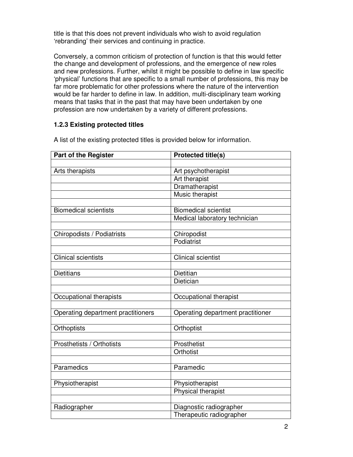title is that this does not prevent individuals who wish to avoid regulation 'rebranding' their services and continuing in practice.

Conversely, a common criticism of protection of function is that this would fetter the change and development of professions, and the emergence of new roles and new professions. Further, whilst it might be possible to define in law specific 'physical' functions that are specific to a small number of professions, this may be far more problematic for other professions where the nature of the intervention would be far harder to define in law. In addition, multi-disciplinary team working means that tasks that in the past that may have been undertaken by one profession are now undertaken by a variety of different professions.

# **1.2.3 Existing protected titles**

| <b>Part of the Register</b>        | <b>Protected title(s)</b>         |
|------------------------------------|-----------------------------------|
|                                    |                                   |
| Arts therapists                    | Art psychotherapist               |
|                                    | Art therapist                     |
|                                    | <b>Dramatherapist</b>             |
|                                    | Music therapist                   |
|                                    |                                   |
| <b>Biomedical scientists</b>       | <b>Biomedical scientist</b>       |
|                                    | Medical laboratory technician     |
|                                    |                                   |
| Chiropodists / Podiatrists         | Chiropodist                       |
|                                    | Podiatrist                        |
|                                    |                                   |
| <b>Clinical scientists</b>         | <b>Clinical scientist</b>         |
| <b>Dietitians</b>                  | Dietitian                         |
|                                    | Dietician                         |
|                                    |                                   |
| Occupational therapists            | Occupational therapist            |
|                                    |                                   |
| Operating department practitioners | Operating department practitioner |
|                                    |                                   |
| Orthoptists                        | Orthoptist                        |
|                                    |                                   |
| Prosthetists / Orthotists          | Prosthetist                       |
|                                    | Orthotist                         |
|                                    |                                   |
| Paramedics                         | Paramedic                         |
|                                    |                                   |
| Physiotherapist                    | Physiotherapist                   |
|                                    | Physical therapist                |
|                                    |                                   |
| Radiographer                       | Diagnostic radiographer           |
|                                    | Therapeutic radiographer          |

A list of the existing protected titles is provided below for information.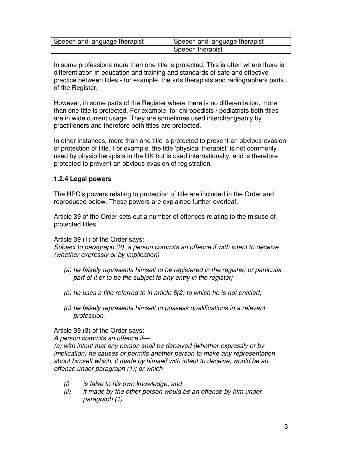| Speech and language therapist | Speech and language therapist |
|-------------------------------|-------------------------------|
|                               | Speech therapist              |

In some professions more than one title is protected. This is often where there is differentiation in education and training and standards of safe and effective practice between titles - for example, the arts therapists and radiographers parts of the Register.

However, in some parts of the Register where there is no differentiation, more than one title is protected. For example, for chiropodists / podiatrists both titles are in wide current usage. They are sometimes used interchangeably by practitioners and therefore both titles are protected.

In other instances, more than one title is protected to prevent an obvious evasion of protection of title. For example, the title 'physical therapist' is not commonly used by physiotherapists in the UK but is used internationally, and is therefore protected to prevent an obvious evasion of registration.

### **1.2.4 Legal powers**

The HPC's powers relating to protection of title are included in the Order and reproduced below. These powers are explained further overleaf.

Article 39 of the Order sets out a number of offences relating to the misuse of protected titles.

Article 39 (1) of the Order says:

Subject to paragraph (2), a person commits an offence if with intent to deceive (whether expressly or by implication)—

- (a) he falsely represents himself to be registered in the register, or particular part of it or to be the subject to any entry in the register;
- (b) he uses a title referred to in article  $6(2)$  to which he is not entitled;
- (c) he falsely represents himself to possess qualifications in a relevant profession.

Article 39 (3) of the Order says:

A person commits an offence if—

(a) with intent that any person shall be deceived (whether expressly or by implication) he causes or permits another person to make any representation about himself which, if made by himself with intent to deceive, would be an offence under paragraph (1); or which

- (i) is false to his own knowledge; and
- $(ii)$  if made by the other person would be an offence by him under paragraph (1)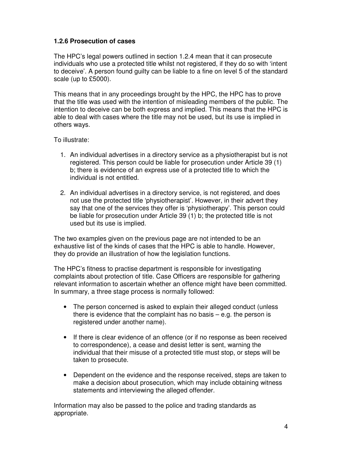# **1.2.6 Prosecution of cases**

The HPC's legal powers outlined in section 1.2.4 mean that it can prosecute individuals who use a protected title whilst not registered, if they do so with 'intent to deceive'. A person found guilty can be liable to a fine on level 5 of the standard scale (up to £5000).

This means that in any proceedings brought by the HPC, the HPC has to prove that the title was used with the intention of misleading members of the public. The intention to deceive can be both express and implied. This means that the HPC is able to deal with cases where the title may not be used, but its use is implied in others ways.

To illustrate:

- 1. An individual advertises in a directory service as a physiotherapist but is not registered. This person could be liable for prosecution under Article 39 (1) b; there is evidence of an express use of a protected title to which the individual is not entitled.
- 2. An individual advertises in a directory service, is not registered, and does not use the protected title 'physiotherapist'. However, in their advert they say that one of the services they offer is 'physiotherapy'. This person could be liable for prosecution under Article 39 (1) b; the protected title is not used but its use is implied.

The two examples given on the previous page are not intended to be an exhaustive list of the kinds of cases that the HPC is able to handle. However, they do provide an illustration of how the legislation functions.

The HPC's fitness to practise department is responsible for investigating complaints about protection of title. Case Officers are responsible for gathering relevant information to ascertain whether an offence might have been committed. In summary, a three stage process is normally followed:

- The person concerned is asked to explain their alleged conduct (unless there is evidence that the complaint has no basis  $-$  e.g. the person is registered under another name).
- If there is clear evidence of an offence (or if no response as been received to correspondence), a cease and desist letter is sent, warning the individual that their misuse of a protected title must stop, or steps will be taken to prosecute.
- Dependent on the evidence and the response received, steps are taken to make a decision about prosecution, which may include obtaining witness statements and interviewing the alleged offender.

Information may also be passed to the police and trading standards as appropriate.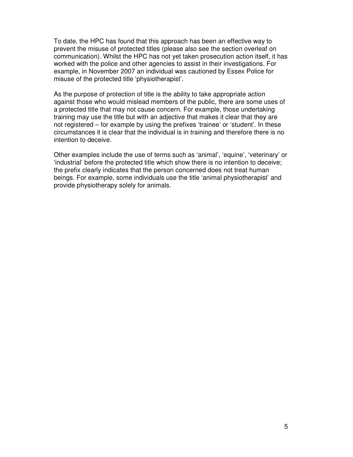To date, the HPC has found that this approach has been an effective way to prevent the misuse of protected titles (please also see the section overleaf on communication). Whilst the HPC has not yet taken prosecution action itself, it has worked with the police and other agencies to assist in their investigations. For example, in November 2007 an individual was cautioned by Essex Police for misuse of the protected title 'physiotherapist'.

As the purpose of protection of title is the ability to take appropriate action against those who would mislead members of the public, there are some uses of a protected title that may not cause concern. For example, those undertaking training may use the title but with an adjective that makes it clear that they are not registered – for example by using the prefixes 'trainee' or 'student'. In these circumstances it is clear that the individual is in training and therefore there is no intention to deceive.

Other examples include the use of terms such as 'animal', 'equine', 'veterinary' or 'industrial' before the protected title which show there is no intention to deceive; the prefix clearly indicates that the person concerned does not treat human beings. For example, some individuals use the title 'animal physiotherapist' and provide physiotherapy solely for animals.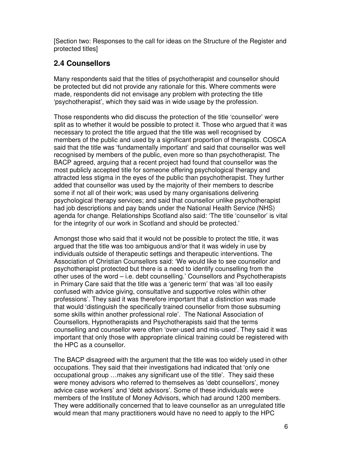[Section two: Responses to the call for ideas on the Structure of the Register and protected titles]

# **2.4 Counsellors**

Many respondents said that the titles of psychotherapist and counsellor should be protected but did not provide any rationale for this. Where comments were made, respondents did not envisage any problem with protecting the title 'psychotherapist', which they said was in wide usage by the profession.

Those respondents who did discuss the protection of the title 'counsellor' were split as to whether it would be possible to protect it. Those who argued that it was necessary to protect the title argued that the title was well recognised by members of the public and used by a significant proportion of therapists. COSCA said that the title was 'fundamentally important' and said that counsellor was well recognised by members of the public, even more so than psychotherapist. The BACP agreed, arguing that a recent project had found that counsellor was the most publicly accepted title for someone offering psychological therapy and attracted less stigma in the eyes of the public than psychotherapist. They further added that counsellor was used by the majority of their members to describe some if not all of their work; was used by many organisations delivering psychological therapy services; and said that counsellor unlike psychotherapist had job descriptions and pay bands under the National Health Service (NHS) agenda for change. Relationships Scotland also said: 'The title 'counsellor' is vital for the integrity of our work in Scotland and should be protected.'

Amongst those who said that it would not be possible to protect the title, it was argued that the title was too ambiguous and/or that it was widely in use by individuals outside of therapeutic settings and therapeutic interventions. The Association of Christian Counsellors said: 'We would like to see counsellor and psychotherapist protected but there is a need to identify counselling from the other uses of the word – i.e. debt counselling.' Counsellors and Psychotherapists in Primary Care said that the title was a 'generic term' that was 'all too easily confused with advice giving, consultative and supportive roles within other professions'. They said it was therefore important that a distinction was made that would 'distinguish the specifically trained counsellor from those subsuming some skills within another professional role'. The National Association of Counsellors, Hypnotherapists and Psychotherapists said that the terms counselling and counsellor were often 'over-used and mis-used'. They said it was important that only those with appropriate clinical training could be registered with the HPC as a counsellor.

The BACP disagreed with the argument that the title was too widely used in other occupations. They said that their investigations had indicated that 'only one occupational group …makes any significant use of the title'. They said these were money advisors who referred to themselves as 'debt counsellors', money advice case workers' and 'debt advisors'. Some of these individuals were members of the Institute of Money Advisors, which had around 1200 members. They were additionally concerned that to leave counsellor as an unregulated title would mean that many practitioners would have no need to apply to the HPC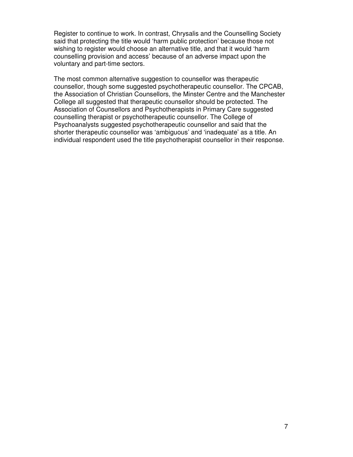Register to continue to work. In contrast, Chrysalis and the Counselling Society said that protecting the title would 'harm public protection' because those not wishing to register would choose an alternative title, and that it would 'harm counselling provision and access' because of an adverse impact upon the voluntary and part-time sectors.

The most common alternative suggestion to counsellor was therapeutic counsellor, though some suggested psychotherapeutic counsellor. The CPCAB, the Association of Christian Counsellors, the Minster Centre and the Manchester College all suggested that therapeutic counsellor should be protected. The Association of Counsellors and Psychotherapists in Primary Care suggested counselling therapist or psychotherapeutic counsellor. The College of Psychoanalysts suggested psychotherapeutic counsellor and said that the shorter therapeutic counsellor was 'ambiguous' and 'inadequate' as a title. An individual respondent used the title psychotherapist counsellor in their response.